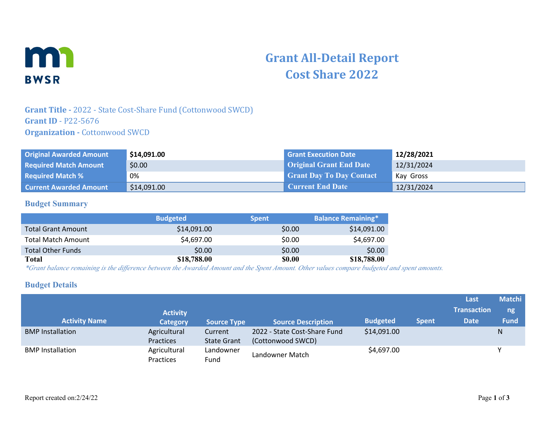

# **Grant All-Detail Report Cost Share 2022**

## **Grant Title -** 2022 - State Cost-Share Fund (Cottonwood SWCD) **Grant ID** - P22-5676 **Organization - Cottonwood SWCD**

| <b>Original Awarded Amount</b> | \$14,091.00 | <b>Grant Execution Date</b>     | 12/28/2021 |
|--------------------------------|-------------|---------------------------------|------------|
| <b>Required Match Amount</b>   | \$0.00      | <b>Original Grant End Date</b>  | 12/31/2024 |
| <b>Required Match %</b>        | 0%          | <b>Grant Day To Day Contact</b> | Kay Gross  |
| <b>Current Awarded Amount</b>  | \$14,091.00 | <b>Current End Date</b>         | 12/31/2024 |

#### **Budget Summary**

|                           | <b>Budgeted</b> | <b>Spent</b>  | <b>Balance Remaining*</b> |
|---------------------------|-----------------|---------------|---------------------------|
| <b>Total Grant Amount</b> | \$14,091.00     | \$0.00        | \$14,091.00               |
| <b>Total Match Amount</b> | \$4,697.00      | \$0.00        | \$4,697.00                |
| <b>Total Other Funds</b>  | \$0.00          | \$0.00        | \$0.00                    |
| Total                     | \$18,788.00     | <b>\$0.00</b> | \$18,788.00               |

*\*Grant balance remaining is the difference between the Awarded Amount and the Spent Amount. Other values compare budgeted and spent amounts.*

#### **Budget Details**

|                         |                 |                    |                              |                 |              | Last               | <b>Matchi</b> |
|-------------------------|-----------------|--------------------|------------------------------|-----------------|--------------|--------------------|---------------|
|                         | <b>Activity</b> |                    |                              |                 |              | <b>Transaction</b> | ng            |
| <b>Activity Name</b>    | <b>Category</b> | <b>Source Type</b> | <b>Source Description</b>    | <b>Budgeted</b> | <b>Spent</b> | <b>Date</b>        | <b>Fund</b>   |
| <b>BMP</b> Installation | Agricultural    | Current            | 2022 - State Cost-Share Fund | \$14,091.00     |              |                    | N             |
|                         | Practices       | <b>State Grant</b> | (Cottonwood SWCD)            |                 |              |                    |               |
| <b>BMP</b> Installation | Agricultural    | Landowner          |                              | \$4,697.00      |              |                    |               |
|                         | Practices       | Fund               | Landowner Match              |                 |              |                    |               |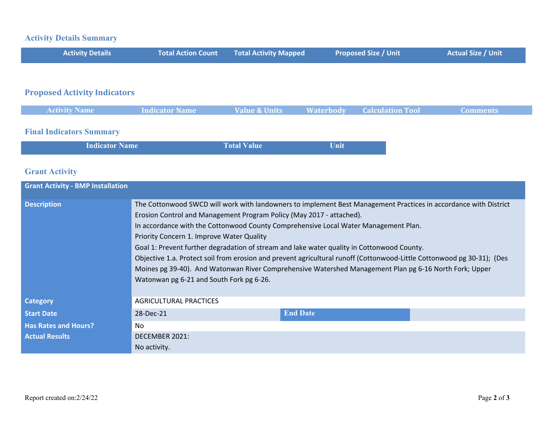## **Activity Details Summary**

| <b>Activity Details</b> | Total Action Count Total Activity Mapped | Proposed Size / Unit | <b>Actual Size / Unit</b> |
|-------------------------|------------------------------------------|----------------------|---------------------------|
|                         |                                          |                      |                           |

## **Proposed Activity Indicators**

| <b>Activity Name</b> | Indicator Name | <b>Example 2 Value &amp; Units Alterbody Calculation Tool</b> |  | <b>Comments</b> |
|----------------------|----------------|---------------------------------------------------------------|--|-----------------|
|                      |                |                                                               |  |                 |
|                      |                |                                                               |  |                 |

## **Final Indicators Summary**

| <b>Indicator Name</b> | <b>Total Value</b> | Unit |
|-----------------------|--------------------|------|
|-----------------------|--------------------|------|

## **Grant Activity**

| <b>Grant Activity - BMP Installation</b> |                                                                                                                                                                                                                                                                                                                                                                                                                                                                                                                                                                                                                                                                                                            |                 |  |
|------------------------------------------|------------------------------------------------------------------------------------------------------------------------------------------------------------------------------------------------------------------------------------------------------------------------------------------------------------------------------------------------------------------------------------------------------------------------------------------------------------------------------------------------------------------------------------------------------------------------------------------------------------------------------------------------------------------------------------------------------------|-----------------|--|
| <b>Description</b>                       | The Cottonwood SWCD will work with landowners to implement Best Management Practices in accordance with District<br>Erosion Control and Management Program Policy (May 2017 - attached).<br>In accordance with the Cottonwood County Comprehensive Local Water Management Plan.<br>Priority Concern 1. Improve Water Quality<br>Goal 1: Prevent further degradation of stream and lake water quality in Cottonwood County.<br>Objective 1.a. Protect soil from erosion and prevent agricultural runoff (Cottonwood-Little Cottonwood pg 30-31); (Des<br>Moines pg 39-40). And Watonwan River Comprehensive Watershed Management Plan pg 6-16 North Fork; Upper<br>Watonwan pg 6-21 and South Fork pg 6-26. |                 |  |
| <b>Category</b>                          | AGRICULTURAL PRACTICES                                                                                                                                                                                                                                                                                                                                                                                                                                                                                                                                                                                                                                                                                     |                 |  |
| <b>Start Date</b>                        | 28-Dec-21                                                                                                                                                                                                                                                                                                                                                                                                                                                                                                                                                                                                                                                                                                  | <b>End Date</b> |  |
| <b>Has Rates and Hours?</b>              | No.                                                                                                                                                                                                                                                                                                                                                                                                                                                                                                                                                                                                                                                                                                        |                 |  |
| <b>Actual Results</b>                    | DECEMBER 2021:                                                                                                                                                                                                                                                                                                                                                                                                                                                                                                                                                                                                                                                                                             |                 |  |
|                                          | No activity.                                                                                                                                                                                                                                                                                                                                                                                                                                                                                                                                                                                                                                                                                               |                 |  |